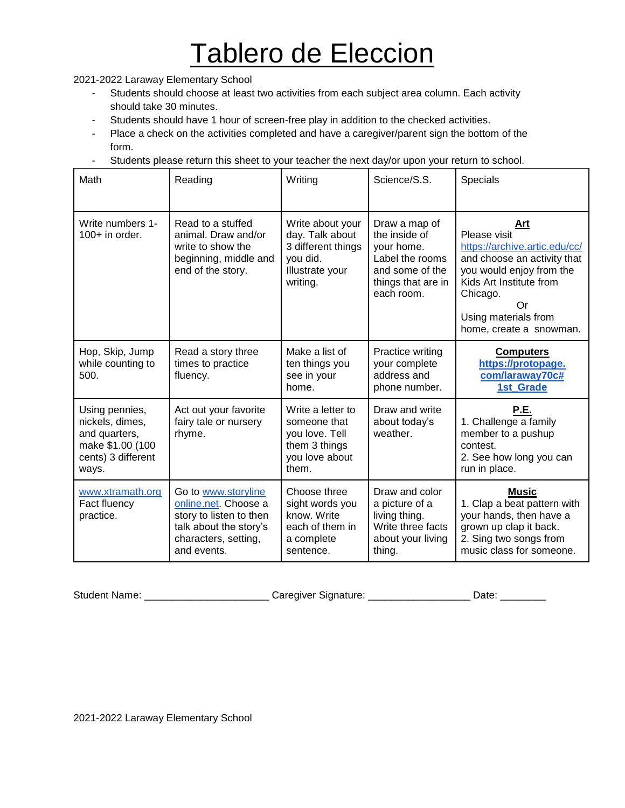## Tablero de Eleccion

2021-2022 Laraway Elementary School

- Students should choose at least two activities from each subject area column. Each activity should take 30 minutes.
- Students should have 1 hour of screen-free play in addition to the checked activities.
- Place a check on the activities completed and have a caregiver/parent sign the bottom of the form.
- Students please return this sheet to your teacher the next day/or upon your return to school.

| Math                                                                                                  | Reading                                                                                                                                 | Writing                                                                                              | Science/S.S.                                                                                                           | Specials                                                                                                                                                                                                        |
|-------------------------------------------------------------------------------------------------------|-----------------------------------------------------------------------------------------------------------------------------------------|------------------------------------------------------------------------------------------------------|------------------------------------------------------------------------------------------------------------------------|-----------------------------------------------------------------------------------------------------------------------------------------------------------------------------------------------------------------|
| Write numbers 1-<br>$100+$ in order.                                                                  | Read to a stuffed<br>animal. Draw and/or<br>write to show the<br>beginning, middle and<br>end of the story.                             | Write about your<br>day. Talk about<br>3 different things<br>you did.<br>Illustrate your<br>writing. | Draw a map of<br>the inside of<br>your home.<br>Label the rooms<br>and some of the<br>things that are in<br>each room. | Art<br>Please visit<br>https://archive.artic.edu/cc/<br>and choose an activity that<br>you would enjoy from the<br>Kids Art Institute from<br>Chicago.<br>Or<br>Using materials from<br>home, create a snowman. |
| Hop, Skip, Jump<br>while counting to<br>500.                                                          | Read a story three<br>times to practice<br>fluency.                                                                                     | Make a list of<br>ten things you<br>see in your<br>home.                                             | Practice writing<br>your complete<br>address and<br>phone number.                                                      | <b>Computers</b><br>https://protopage.<br>com/laraway70c#<br>1st_Grade                                                                                                                                          |
| Using pennies,<br>nickels, dimes,<br>and quarters,<br>make \$1.00 (100<br>cents) 3 different<br>ways. | Act out your favorite<br>fairy tale or nursery<br>rhyme.                                                                                | Write a letter to<br>someone that<br>you love. Tell<br>them 3 things<br>you love about<br>them.      | Draw and write<br>about today's<br>weather.                                                                            | P.E.<br>1. Challenge a family<br>member to a pushup<br>contest.<br>2. See how long you can<br>run in place.                                                                                                     |
| www.xtramath.org<br>Fact fluency<br>practice.                                                         | Go to www.storyline<br>online.net. Choose a<br>story to listen to then<br>talk about the story's<br>characters, setting,<br>and events. | Choose three<br>sight words you<br>know. Write<br>each of them in<br>a complete<br>sentence.         | Draw and color<br>a picture of a<br>living thing.<br>Write three facts<br>about your living<br>thing.                  | Music<br>1. Clap a beat pattern with<br>your hands, then have a<br>grown up clap it back.<br>2. Sing two songs from<br>music class for someone.                                                                 |

Student Name: \_\_\_\_\_\_\_\_\_\_\_\_\_\_\_\_\_\_\_\_\_\_\_\_\_\_Caregiver Signature: \_\_\_\_\_\_\_\_\_\_\_\_\_\_\_\_\_\_\_\_Date: \_\_\_\_\_\_\_\_\_\_\_\_

2021-2022 Laraway Elementary School